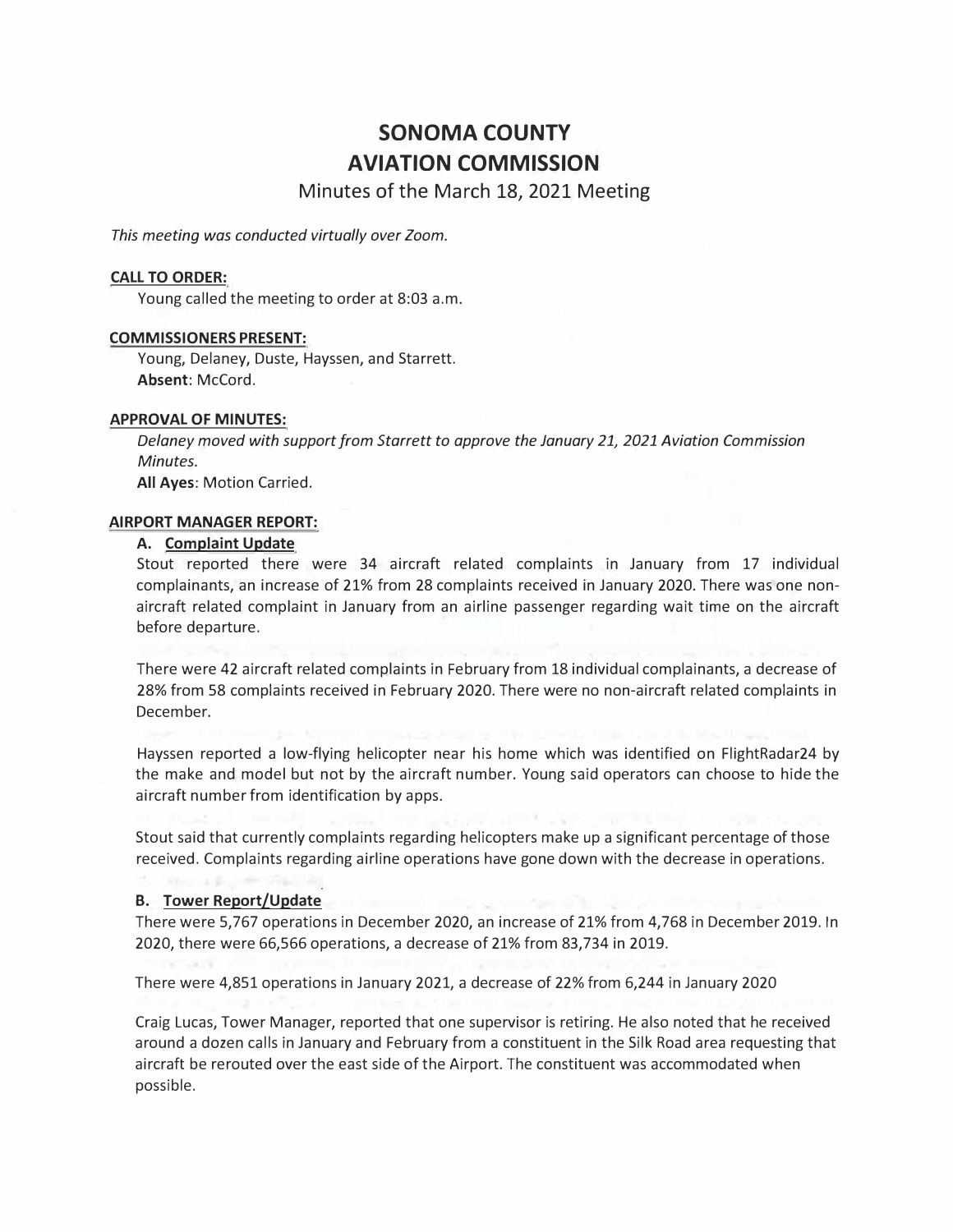# **SONOMA COUNTY AVIATION COMMISSION**

**Minutes of the March 18, 2021 Meeting** 

*This meeting was conducted virtually over Zoom.* 

## **CALL TO ORDER:**

Young called the meeting to order at 8:03 a.m.

## **COMMISSIONERS PRESENT:**

Young, Delaney, Duste, Hayssen, and Starrett. **Absent:** McCord.

#### **APPROVAL OF MINUTES:**

*Delaney moved with support from Starrett to approve the January 21, 2021 Aviation Commission Minutes.* 

**All Ayes:** Motion Carried.

# **AIRPORT MANAGER REPORT:**

## **A. Complaint Update**

Stout reported there were 34 aircraft related complaints in January from 17 individual complainants, an increase of 21% from 28 complaints received in January 2020. There was one nonaircraft related complaint in January from an airline passenger regarding wait time on the aircraft before departure.

There were 42 aircraft related complaints in February from 18 individual complainants, a decrease of 28% from 58 complaints received in February 2020. There were no non-aircraft related complaints in December.

Hayssen reported a low-flying helicopter near his home which was identified on FlightRadar24 by the make and model but not by the aircraft number. Young said operators can choose to hide the aircraft number from identification by apps.

Stout said that currently complaints regarding helicopters make up a significant percentage of those received. Complaints regarding airline operations have gone down with the decrease in operations.

#### **B. Tower Report/Update**

There were 5,767 operations in December 2020, an increase of 21% from 4,768 in December 2019. In 2020, there were 66,566 operations, a decrease of 21% from 83,734 in 2019.

There were 4,851 operations in January 2021, a decrease of 22% from 6,244 in January 2020

Craig Lucas, Tower Manager, reported that one supervisor is retiring. He also noted that he received around a dozen calls in January and February from a constituent in the Silk Road area requesting that aircraft be rerouted over the east side of the Airport. The constituent was accommodated when possible.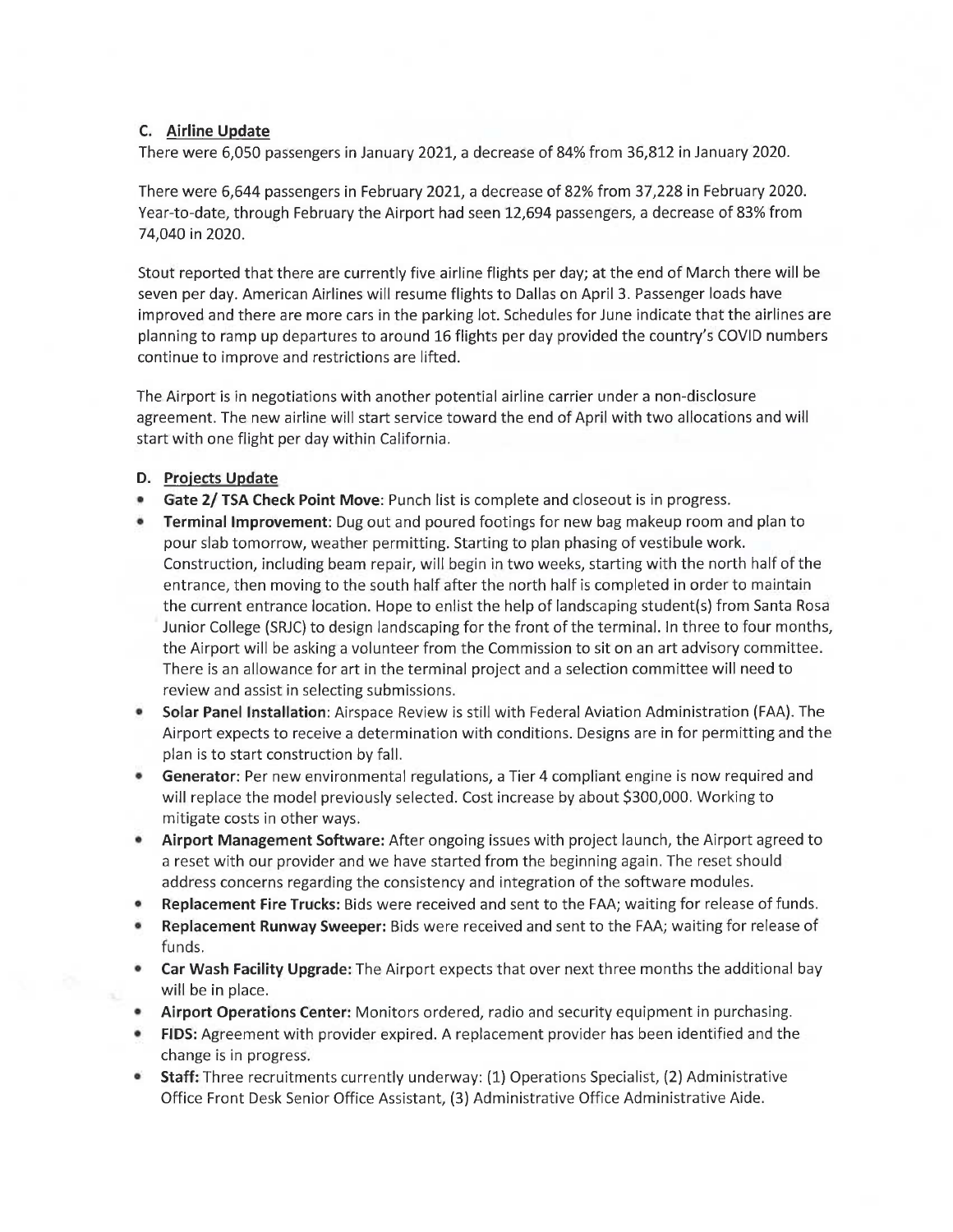# C. Airline Update

There were 6,050 passengers in January 2021, a decrease of 84% from 36,812 in January 2020.

There were 6,644 passengers in February 2021, a decrease of 82% from 37,228 in February 2020. Year-to-date, through February the Airport had seen 12,694 passengers, a decrease of 83% from 74,040 in 2020.

Stout reported that there are currently five airline flights per day; at the end of March there will be seven per day. American Airlines will resume flights to Dallas on April 3. Passenger loads have improved and there are more cars in the parking lot. Schedules for June indicate that the airlines are planning to ramp up departures to around 16 flights per day provided the country's COVID numbers continue to improve and restrictions are lifted.

The Airport is in negotiations with another potential airline carrier under a non-disclosure agreement. The new airline will start service toward the end of April with two allocations and will start with one flight per day within California.

# D. Projects Update

- Gate 2/ TSA Check Point Move: Punch list is complete and closeout is in progress.
- Terminal Improvement: Dug out and poured footings for new bag makeup room and plan to pour slab tomorrow, weather permitting. Starting to plan phasing of vestibule work. Construction, including beam repair, will begin in two weeks, starting with the north half of the entrance, then moving to the south half after the north half is completed in order to maintain the current entrance location. Hope to enlist the help of landscaping student(s) from Santa Rosa Junior College (SRJC) to design landscaping for the front of the terminal. In three to four months, the Airport will be asking a volunteer from the Commission to sit on an art advisory committee. There is an allowance for art in the terminal project and a selection committee will need to review and assist in selecting submissions.
- Solar Panel Installation: Airspace Review is still with Federal Aviation Administration (FAA). The  $\bullet$ Airport expects to receive a determination with conditions. Designs are in for permitting and the plan is to start construction by fall.
- Generator: Per new environmental regulations, a Tier 4 compliant engine is now required and will replace the model previously selected. Cost increase by about \$300,000. Working to mitigate costs in other ways.
- Airport Management Software: After ongoing issues with project launch, the Airport agreed to  $\bullet$ a reset with our provider and we have started from the beginning again. The reset should address concerns regarding the consistency and integration of the software modules.
- Replacement Fire Trucks: Bids were received and sent to the FAA; waiting for release of funds.
- Replacement Runway Sweeper: Bids were received and sent to the FAA; waiting for release of funds.
- Car Wash Facility Upgrade: The Airport expects that over next three months the additional bay will be in place.
- Airport Operations Center: Monitors ordered, radio and security equipment in purchasing.
- FIDS: Agreement with provider expired. A replacement provider has been identified and the change is in progress.
- $\bullet$ Staff: Three recruitments currently underway: (1) Operations Specialist, (2) Administrative Office Front Desk Senior Office Assistant, (3) Administrative Office Administrative Aide.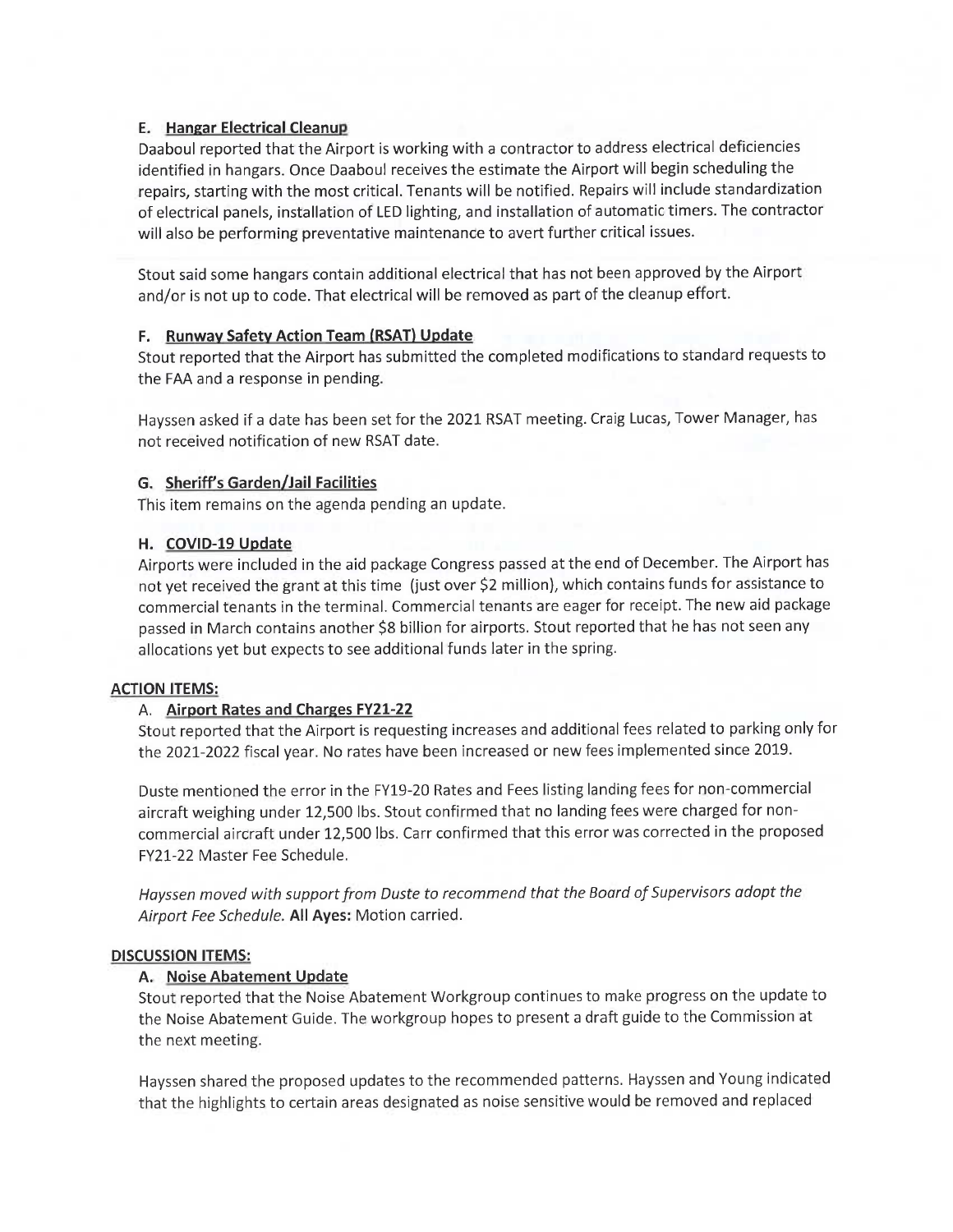# **E.** Hangar Electrical Cleanup

Daaboul reported that the Airport is working with a contractor to address electrical deficiencies identified in hangars. Once Daaboul receives the estimate the Airport will begin scheduling the repairs, starting with the most critical. Tenants will be notified. Repairs will include standardization of electrical panels, installation of LED lighting, and installation of automatic timers. The contractor will also be performing preventative maintenance to avert further critical issues.

Stout said some hangars contain additional electrical that has not been approved by the Airport and/or is not up to code. That electrical will be removed as part of the cleanup effort.

# F. Runway Safety Action Team (RSAT) Update

Stout reported that the Airport has submitted the completed modifications to standard requests to the FAA and a response in pending.

Hayssen asked if a date has been set for the 2021 RSAT meeting. Craig Lucas, Tower Manager, has not received notification of new RSAT date.

# G. Sheriff's Garden/Jail Facilities

This item remains on the agenda pending an update.

# H. COVID-19 Update

Airports were included in the aid package Congress passed at the end of December. The Airport has not yet received the grant at this time (just over \$2 million), which contains funds for assistance to commercial tenants in the terminal. Commercial tenants are eager for receipt. The new aid package passed in March contains another \$8 billion for airports. Stout reported that he has not seen any allocations yet but expects to see additional funds later in the spring.

# **ACTION ITEMS:**

# A. Airport Rates and Charges FY21-22

Stout reported that the Airport is requesting increases and additional fees related to parking only for the 2021-2022 fiscal year. No rates have been increased or new fees implemented since 2019.

Duste mentioned the error in the FY19-20 Rates and Fees listing landing fees for non-commercial aircraft weighing under 12,500 lbs. Stout confirmed that no landing fees were charged for noncommercial aircraft under 12,500 lbs. Carr confirmed that this error was corrected in the proposed FY21-22 Master Fee Schedule.

Hayssen moved with support from Duste to recommend that the Board of Supervisors adopt the Airport Fee Schedule. All Ayes: Motion carried.

# **DISCUSSION ITEMS:**

# A. Noise Abatement Update

Stout reported that the Noise Abatement Workgroup continues to make progress on the update to the Noise Abatement Guide. The workgroup hopes to present a draft guide to the Commission at the next meeting.

Hayssen shared the proposed updates to the recommended patterns. Hayssen and Young indicated that the highlights to certain areas designated as noise sensitive would be removed and replaced